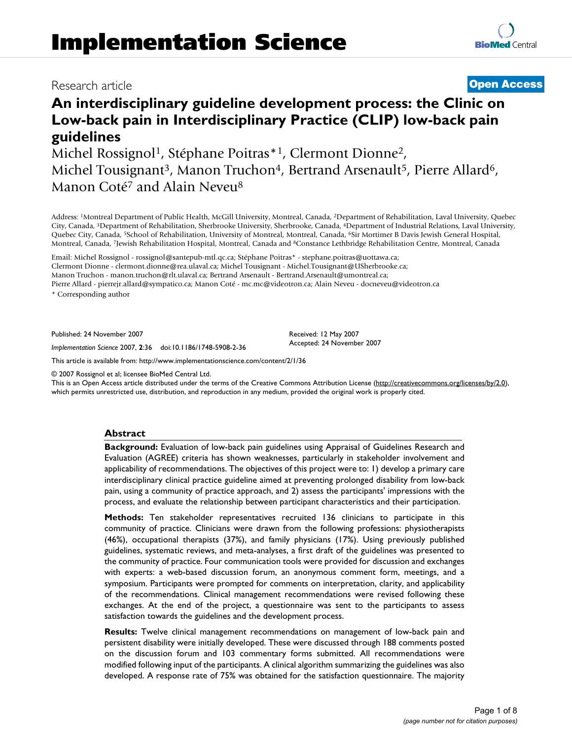# Research article **[Open Access](http://www.biomedcentral.com/info/about/charter/)**

**[BioMed](http://www.biomedcentral.com/)** Central

# **An interdisciplinary guideline development process: the Clinic on Low-back pain in Interdisciplinary Practice (CLIP) low-back pain guidelines**

Michel Rossignol<sup>1</sup>, Stéphane Poitras<sup>\*1</sup>, Clermont Dionne<sup>2</sup>, Michel Tousignant<sup>3</sup>, Manon Truchon<sup>4</sup>, Bertrand Arsenault<sup>5</sup>, Pierre Allard<sup>6</sup>, Manon Coté<sup>7</sup> and Alain Neveu<sup>8</sup>

Address: 1Montreal Department of Public Health, McGill University, Montreal, Canada, 2Department of Rehabilitation, Laval University, Quebec City, Canada, 3Department of Rehabilitation, Sherbrooke University, Sherbrooke, Canada, 4Department of Industrial Relations, Laval University, Quebec City, Canada, 5School of Rehabilitation, University of Montreal, Montreal, Canada, 6Sir Mortimer B Davis Jewish General Hospital, Montreal, Canada, 7Jewish Rehabilitation Hospital, Montreal, Canada and 8Constance Lethbridge Rehabilitation Centre, Montreal, Canada

Email: Michel Rossignol - rossignol@santepub-mtl.qc.ca; Stéphane Poitras\* - stephane.poitras@uottawa.ca;

Clermont Dionne - clermont.dionne@rea.ulaval.ca; Michel Tousignant - Michel.Tousignant@USherbrooke.ca;

Manon Truchon - manon.truchon@rlt.ulaval.ca; Bertrand Arsenault - Bertrand.Arsenault@umontreal.ca;

Pierre Allard - pierrejr.allard@sympatico.ca; Manon Coté - mc.mc@videotron.ca; Alain Neveu - docneveu@videotron.ca

\* Corresponding author

Published: 24 November 2007

*Implementation Science* 2007, **2**:36 doi:10.1186/1748-5908-2-36

[This article is available from: http://www.implementationscience.com/content/2/1/36](http://www.implementationscience.com/content/2/1/36)

© 2007 Rossignol et al; licensee BioMed Central Ltd.

This is an Open Access article distributed under the terms of the Creative Commons Attribution License [\(http://creativecommons.org/licenses/by/2.0\)](http://creativecommons.org/licenses/by/2.0), which permits unrestricted use, distribution, and reproduction in any medium, provided the original work is properly cited.

Received: 12 May 2007 Accepted: 24 November 2007

# **Abstract**

**Background:** Evaluation of low-back pain guidelines using Appraisal of Guidelines Research and Evaluation (AGREE) criteria has shown weaknesses, particularly in stakeholder involvement and applicability of recommendations. The objectives of this project were to: 1) develop a primary care interdisciplinary clinical practice guideline aimed at preventing prolonged disability from low-back pain, using a community of practice approach, and 2) assess the participants' impressions with the process, and evaluate the relationship between participant characteristics and their participation.

**Methods:** Ten stakeholder representatives recruited 136 clinicians to participate in this community of practice. Clinicians were drawn from the following professions: physiotherapists (46%), occupational therapists (37%), and family physicians (17%). Using previously published guidelines, systematic reviews, and meta-analyses, a first draft of the guidelines was presented to the community of practice. Four communication tools were provided for discussion and exchanges with experts: a web-based discussion forum, an anonymous comment form, meetings, and a symposium. Participants were prompted for comments on interpretation, clarity, and applicability of the recommendations. Clinical management recommendations were revised following these exchanges. At the end of the project, a questionnaire was sent to the participants to assess satisfaction towards the guidelines and the development process.

**Results:** Twelve clinical management recommendations on management of low-back pain and persistent disability were initially developed. These were discussed through 188 comments posted on the discussion forum and 103 commentary forms submitted. All recommendations were modified following input of the participants. A clinical algorithm summarizing the guidelines was also developed. A response rate of 75% was obtained for the satisfaction questionnaire. The majority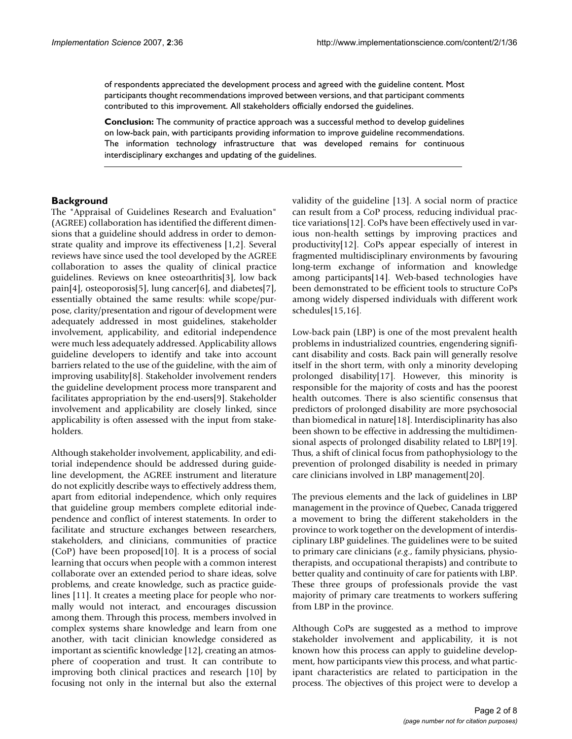of respondents appreciated the development process and agreed with the guideline content. Most participants thought recommendations improved between versions, and that participant comments contributed to this improvement. All stakeholders officially endorsed the guidelines.

**Conclusion:** The community of practice approach was a successful method to develop guidelines on low-back pain, with participants providing information to improve guideline recommendations. The information technology infrastructure that was developed remains for continuous interdisciplinary exchanges and updating of the guidelines.

# **Background**

The "Appraisal of Guidelines Research and Evaluation" (AGREE) collaboration has identified the different dimensions that a guideline should address in order to demonstrate quality and improve its effectiveness [1,2]. Several reviews have since used the tool developed by the AGREE collaboration to asses the quality of clinical practice guidelines. Reviews on knee osteoarthritis[3], low back pain[4], osteoporosis[5], lung cancer[6], and diabetes[7], essentially obtained the same results: while scope/purpose, clarity/presentation and rigour of development were adequately addressed in most guidelines, stakeholder involvement, applicability, and editorial independence were much less adequately addressed. Applicability allows guideline developers to identify and take into account barriers related to the use of the guideline, with the aim of improving usability[8]. Stakeholder involvement renders the guideline development process more transparent and facilitates appropriation by the end-users[9]. Stakeholder involvement and applicability are closely linked, since applicability is often assessed with the input from stakeholders.

Although stakeholder involvement, applicability, and editorial independence should be addressed during guideline development, the AGREE instrument and literature do not explicitly describe ways to effectively address them, apart from editorial independence, which only requires that guideline group members complete editorial independence and conflict of interest statements. In order to facilitate and structure exchanges between researchers, stakeholders, and clinicians, communities of practice (CoP) have been proposed[10]. It is a process of social learning that occurs when people with a common interest collaborate over an extended period to share ideas, solve problems, and create knowledge, such as practice guidelines [11]. It creates a meeting place for people who normally would not interact, and encourages discussion among them. Through this process, members involved in complex systems share knowledge and learn from one another, with tacit clinician knowledge considered as important as scientific knowledge [12], creating an atmosphere of cooperation and trust. It can contribute to improving both clinical practices and research [10] by focusing not only in the internal but also the external

validity of the guideline [13]. A social norm of practice can result from a CoP process, reducing individual practice variations[12]. CoPs have been effectively used in various non-health settings by improving practices and productivity[12]. CoPs appear especially of interest in fragmented multidisciplinary environments by favouring long-term exchange of information and knowledge among participants[14]. Web-based technologies have been demonstrated to be efficient tools to structure CoPs among widely dispersed individuals with different work schedules[15,16].

Low-back pain (LBP) is one of the most prevalent health problems in industrialized countries, engendering significant disability and costs. Back pain will generally resolve itself in the short term, with only a minority developing prolonged disability[17]. However, this minority is responsible for the majority of costs and has the poorest health outcomes. There is also scientific consensus that predictors of prolonged disability are more psychosocial than biomedical in nature[18]. Interdisciplinarity has also been shown to be effective in addressing the multidimensional aspects of prolonged disability related to LBP[19]. Thus, a shift of clinical focus from pathophysiology to the prevention of prolonged disability is needed in primary care clinicians involved in LBP management[20].

The previous elements and the lack of guidelines in LBP management in the province of Quebec, Canada triggered a movement to bring the different stakeholders in the province to work together on the development of interdisciplinary LBP guidelines. The guidelines were to be suited to primary care clinicians (*e.g*., family physicians, physiotherapists, and occupational therapists) and contribute to better quality and continuity of care for patients with LBP. These three groups of professionals provide the vast majority of primary care treatments to workers suffering from LBP in the province.

Although CoPs are suggested as a method to improve stakeholder involvement and applicability, it is not known how this process can apply to guideline development, how participants view this process, and what participant characteristics are related to participation in the process. The objectives of this project were to develop a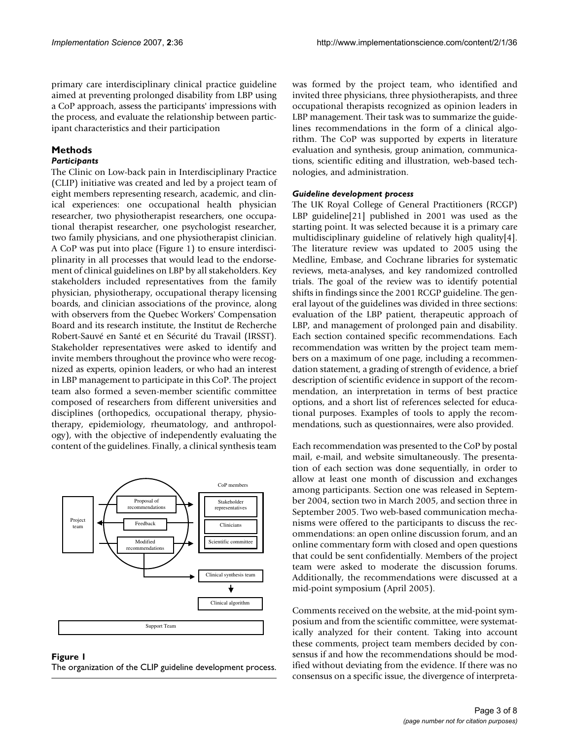primary care interdisciplinary clinical practice guideline aimed at preventing prolonged disability from LBP using a CoP approach, assess the participants' impressions with the process, and evaluate the relationship between participant characteristics and their participation

# **Methods**

# *Participants*

The Clinic on Low-back pain in Interdisciplinary Practice (CLIP) initiative was created and led by a project team of eight members representing research, academic, and clinical experiences: one occupational health physician researcher, two physiotherapist researchers, one occupational therapist researcher, one psychologist researcher, two family physicians, and one physiotherapist clinician. A CoP was put into place (Figure 1) to ensure interdisciplinarity in all processes that would lead to the endorsement of clinical guidelines on LBP by all stakeholders. Key stakeholders included representatives from the family physician, physiotherapy, occupational therapy licensing boards, and clinician associations of the province, along with observers from the Quebec Workers' Compensation Board and its research institute, the Institut de Recherche Robert-Sauvé en Santé et en Sécurité du Travail (IRSST). Stakeholder representatives were asked to identify and invite members throughout the province who were recognized as experts, opinion leaders, or who had an interest in LBP management to participate in this CoP. The project team also formed a seven-member scientific committee composed of researchers from different universities and disciplines (orthopedics, occupational therapy, physiotherapy, epidemiology, rheumatology, and anthropology), with the objective of independently evaluating the content of the guidelines. Finally, a clinical synthesis team



#### Figure 1 The organization of the CLIP guideline development process.

was formed by the project team, who identified and invited three physicians, three physiotherapists, and three occupational therapists recognized as opinion leaders in LBP management. Their task was to summarize the guidelines recommendations in the form of a clinical algorithm. The CoP was supported by experts in literature evaluation and synthesis, group animation, communications, scientific editing and illustration, web-based technologies, and administration.

#### *Guideline development process*

The UK Royal College of General Practitioners (RCGP) LBP guideline[21] published in 2001 was used as the starting point. It was selected because it is a primary care multidisciplinary guideline of relatively high quality[4]. The literature review was updated to 2005 using the Medline, Embase, and Cochrane libraries for systematic reviews, meta-analyses, and key randomized controlled trials. The goal of the review was to identify potential shifts in findings since the 2001 RCGP guideline. The general layout of the guidelines was divided in three sections: evaluation of the LBP patient, therapeutic approach of LBP, and management of prolonged pain and disability. Each section contained specific recommendations. Each recommendation was written by the project team members on a maximum of one page, including a recommendation statement, a grading of strength of evidence, a brief description of scientific evidence in support of the recommendation, an interpretation in terms of best practice options, and a short list of references selected for educational purposes. Examples of tools to apply the recommendations, such as questionnaires, were also provided.

Each recommendation was presented to the CoP by postal mail, e-mail, and website simultaneously. The presentation of each section was done sequentially, in order to allow at least one month of discussion and exchanges among participants. Section one was released in September 2004, section two in March 2005, and section three in September 2005. Two web-based communication mechanisms were offered to the participants to discuss the recommendations: an open online discussion forum, and an online commentary form with closed and open questions that could be sent confidentially. Members of the project team were asked to moderate the discussion forums. Additionally, the recommendations were discussed at a mid-point symposium (April 2005).

Comments received on the website, at the mid-point symposium and from the scientific committee, were systematically analyzed for their content. Taking into account these comments, project team members decided by consensus if and how the recommendations should be modified without deviating from the evidence. If there was no consensus on a specific issue, the divergence of interpreta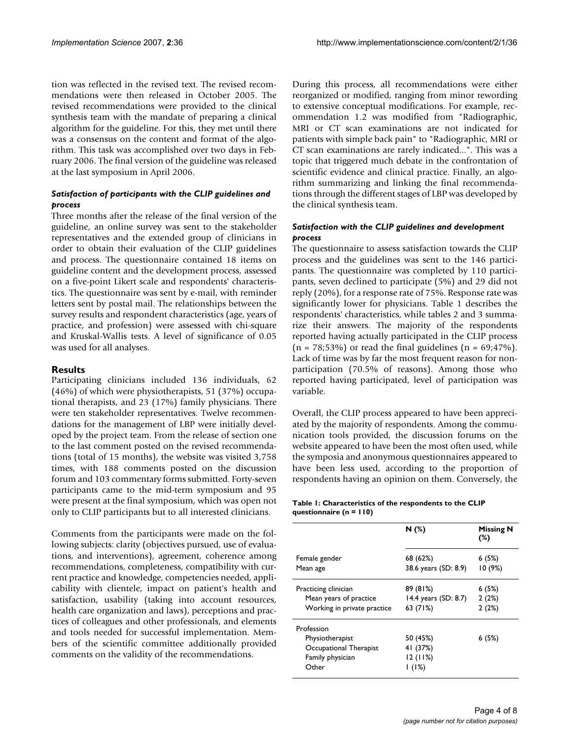tion was reflected in the revised text. The revised recommendations were then released in October 2005. The revised recommendations were provided to the clinical synthesis team with the mandate of preparing a clinical algorithm for the guideline. For this, they met until there was a consensus on the content and format of the algorithm. This task was accomplished over two days in February 2006. The final version of the guideline was released at the last symposium in April 2006.

# *Satisfaction of participants with the CLIP guidelines and process*

Three months after the release of the final version of the guideline, an online survey was sent to the stakeholder representatives and the extended group of clinicians in order to obtain their evaluation of the CLIP guidelines and process. The questionnaire contained 18 items on guideline content and the development process, assessed on a five-point Likert scale and respondents' characteristics. The questionnaire was sent by e-mail, with reminder letters sent by postal mail. The relationships between the survey results and respondent characteristics (age, years of practice, and profession) were assessed with chi-square and Kruskal-Wallis tests. A level of significance of 0.05 was used for all analyses.

# **Results**

Participating clinicians included 136 individuals, 62 (46%) of which were physiotherapists, 51 (37%) occupational therapists, and 23 (17%) family physicians. There were ten stakeholder representatives. Twelve recommendations for the management of LBP were initially developed by the project team. From the release of section one to the last comment posted on the revised recommendations (total of 15 months), the website was visited 3,758 times, with 188 comments posted on the discussion forum and 103 commentary forms submitted. Forty-seven participants came to the mid-term symposium and 95 were present at the final symposium, which was open not only to CLIP participants but to all interested clinicians.

Comments from the participants were made on the following subjects: clarity (objectives pursued, use of evaluations, and interventions), agreement, coherence among recommendations, completeness, compatibility with current practice and knowledge, competencies needed, applicability with clientele, impact on patient's health and satisfaction, usability (taking into account resources, health care organization and laws), perceptions and practices of colleagues and other professionals, and elements and tools needed for successful implementation. Members of the scientific committee additionally provided comments on the validity of the recommendations.

During this process, all recommendations were either reorganized or modified, ranging from minor rewording to extensive conceptual modifications. For example, recommendation 1.2 was modified from "Radiographic, MRI or CT scan examinations are not indicated for patients with simple back pain" to "Radiographic, MRI or CT scan examinations are rarely indicated...". This was a topic that triggered much debate in the confrontation of scientific evidence and clinical practice. Finally, an algorithm summarizing and linking the final recommendations through the different stages of LBP was developed by the clinical synthesis team.

# *Satisfaction with the CLIP guidelines and development process*

The questionnaire to assess satisfaction towards the CLIP process and the guidelines was sent to the 146 participants. The questionnaire was completed by 110 participants, seven declined to participate (5%) and 29 did not reply (20%), for a response rate of 75%. Response rate was significantly lower for physicians. Table 1 describes the respondents' characteristics, while tables 2 and 3 summarize their answers. The majority of the respondents reported having actually participated in the CLIP process  $(n = 78; 53%)$  or read the final guidelines  $(n = 69; 47%)$ . Lack of time was by far the most frequent reason for nonparticipation (70.5% of reasons). Among those who reported having participated, level of participation was variable.

Overall, the CLIP process appeared to have been appreciated by the majority of respondents. Among the communication tools provided, the discussion forums on the website appeared to have been the most often used, while the symposia and anonymous questionnaires appeared to have been less used, according to the proportion of respondents having an opinion on them. Conversely, the

#### **Table 1: Characteristics of the respondents to the CLIP questionnaire (n = 110)**

|                             | N(%)                   | <b>Missing N</b><br>$(\%)$ |  |  |  |  |
|-----------------------------|------------------------|----------------------------|--|--|--|--|
| Female gender               | 68 (62%)               | 6(5%)                      |  |  |  |  |
| Mean age                    | 38.6 years (SD: 8.9)   | 10(9%)                     |  |  |  |  |
| Practicing clinician        | 89 (81%)               | 6(5%)                      |  |  |  |  |
| Mean years of practice      | 14.4 years $(SD: 8.7)$ | 2(2%)                      |  |  |  |  |
| Working in private practice | 63 (71%)               | 2(2%)                      |  |  |  |  |
| Profession                  |                        |                            |  |  |  |  |
| Physiotherapist             | 50 (45%)               | 6(5%)                      |  |  |  |  |
| Occupational Therapist      | 41 (37%)               |                            |  |  |  |  |
| Family physician            | 12(11%)                |                            |  |  |  |  |
| Other                       | 1(1%)                  |                            |  |  |  |  |
|                             |                        |                            |  |  |  |  |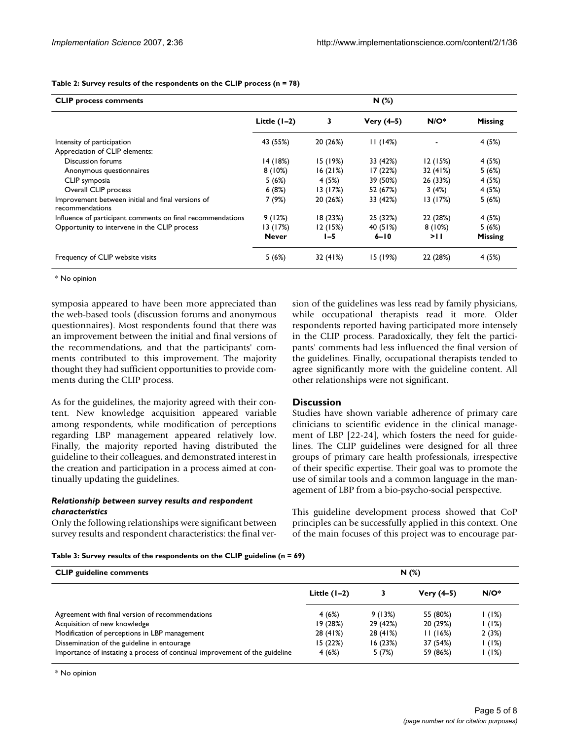| <b>CLIP process comments</b>                                         | N(%)           |          |              |          |                |
|----------------------------------------------------------------------|----------------|----------|--------------|----------|----------------|
|                                                                      | Little $(1-2)$ | 3        | $Very (4-5)$ | $N/O^*$  | <b>Missing</b> |
| Intensity of participation                                           | 43 (55%)       | 20 (26%) | 11(14%)      |          | 4 (5%)         |
| Appreciation of CLIP elements:                                       |                |          |              |          |                |
| Discussion forums                                                    | 14(18%)        | 15 (19%) | 33 (42%)     | 12(15%)  | 4 (5%)         |
| Anonymous questionnaires                                             | 8(10%)         | 16(21%)  | 17 (22%)     | 32 (41%) | 5(6%)          |
| CLIP symposia                                                        | 5(6%)          | 4 (5%)   | 39 (50%)     | 26 (33%) | 4 (5%)         |
| Overall CLIP process                                                 | 6(8%)          | 13 (17%) | 52 (67%)     | 3(4%)    | 4 (5%)         |
| Improvement between initial and final versions of<br>recommendations | 7 (9%)         | 20 (26%) | 33 (42%)     | 13 (17%) | 5(6%)          |
| Influence of participant comments on final recommendations           | 9(12%)         | 18 (23%) | 25 (32%)     | 22 (28%) | 4 (5%)         |
| Opportunity to intervene in the CLIP process                         | 13 (17%)       | 12 (15%) | 40 (51%)     | 8(10%)   | 5(6%)          |
|                                                                      | <b>Never</b>   | I-5      | $6 - 10$     | >।।      | <b>Missing</b> |

Frequency of CLIP website visits 5 (6%) 32 (41%) 15 (19%) 22 (28%) 4 (5%)

#### **Table 2: Survey results of the respondents on the CLIP process (n = 78)**

\* No opinion

symposia appeared to have been more appreciated than the web-based tools (discussion forums and anonymous questionnaires). Most respondents found that there was an improvement between the initial and final versions of the recommendations, and that the participants' comments contributed to this improvement. The majority thought they had sufficient opportunities to provide comments during the CLIP process.

As for the guidelines, the majority agreed with their content. New knowledge acquisition appeared variable among respondents, while modification of perceptions regarding LBP management appeared relatively low. Finally, the majority reported having distributed the guideline to their colleagues, and demonstrated interest in the creation and participation in a process aimed at continually updating the guidelines.

### *Relationship between survey results and respondent characteristics*

Only the following relationships were significant between survey results and respondent characteristics: the final version of the guidelines was less read by family physicians, while occupational therapists read it more. Older respondents reported having participated more intensely in the CLIP process. Paradoxically, they felt the participants' comments had less influenced the final version of the guidelines. Finally, occupational therapists tended to agree significantly more with the guideline content. All other relationships were not significant.

# **Discussion**

Studies have shown variable adherence of primary care clinicians to scientific evidence in the clinical management of LBP [22-24], which fosters the need for guidelines. The CLIP guidelines were designed for all three groups of primary care health professionals, irrespective of their specific expertise. Their goal was to promote the use of similar tools and a common language in the management of LBP from a bio-psycho-social perspective.

This guideline development process showed that CoP principles can be successfully applied in this context. One of the main focuses of this project was to encourage par-

#### **Table 3: Survey results of the respondents on the CLIP guideline (n = 69)**

| <b>CLIP</b> guideline comments                                              | N(%)           |          |              |         |
|-----------------------------------------------------------------------------|----------------|----------|--------------|---------|
|                                                                             | Little $(1-2)$ |          | Very $(4-5)$ | $N/O^*$ |
| Agreement with final version of recommendations                             | 4(6%)          | 9 (13%)  | 55 (80%)     | 1(1%)   |
| Acquisition of new knowledge                                                | 19(28%)        | 29 (42%) | 20 (29%)     | 1(1%)   |
| Modification of perceptions in LBP management                               | 28 (41%)       | 28 (41%) | 11(16%)      | 2(3%)   |
| Dissemination of the guideline in entourage                                 | 15(22%)        | 16(23%)  | 37 (54%)     | 1(1%)   |
| Importance of instating a process of continual improvement of the guideline | 4(6%)          | 5(7%)    | 59 (86%)     | 1(1%)   |

\* No opinion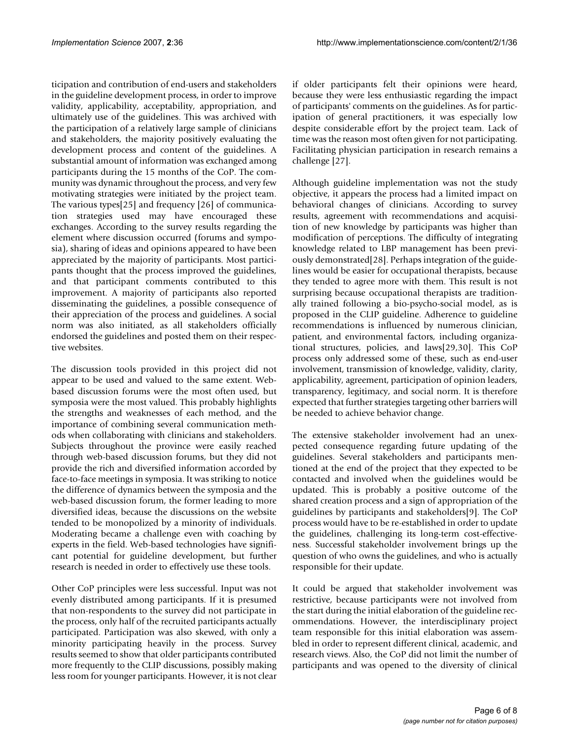ticipation and contribution of end-users and stakeholders in the guideline development process, in order to improve validity, applicability, acceptability, appropriation, and ultimately use of the guidelines. This was archived with the participation of a relatively large sample of clinicians and stakeholders, the majority positively evaluating the development process and content of the guidelines. A substantial amount of information was exchanged among participants during the 15 months of the CoP. The community was dynamic throughout the process, and very few motivating strategies were initiated by the project team. The various types[25] and frequency [26] of communication strategies used may have encouraged these exchanges. According to the survey results regarding the element where discussion occurred (forums and symposia), sharing of ideas and opinions appeared to have been appreciated by the majority of participants. Most participants thought that the process improved the guidelines, and that participant comments contributed to this improvement. A majority of participants also reported disseminating the guidelines, a possible consequence of their appreciation of the process and guidelines. A social norm was also initiated, as all stakeholders officially endorsed the guidelines and posted them on their respective websites.

The discussion tools provided in this project did not appear to be used and valued to the same extent. Webbased discussion forums were the most often used, but symposia were the most valued. This probably highlights the strengths and weaknesses of each method, and the importance of combining several communication methods when collaborating with clinicians and stakeholders. Subjects throughout the province were easily reached through web-based discussion forums, but they did not provide the rich and diversified information accorded by face-to-face meetings in symposia. It was striking to notice the difference of dynamics between the symposia and the web-based discussion forum, the former leading to more diversified ideas, because the discussions on the website tended to be monopolized by a minority of individuals. Moderating became a challenge even with coaching by experts in the field. Web-based technologies have significant potential for guideline development, but further research is needed in order to effectively use these tools.

Other CoP principles were less successful. Input was not evenly distributed among participants. If it is presumed that non-respondents to the survey did not participate in the process, only half of the recruited participants actually participated. Participation was also skewed, with only a minority participating heavily in the process. Survey results seemed to show that older participants contributed more frequently to the CLIP discussions, possibly making less room for younger participants. However, it is not clear

if older participants felt their opinions were heard, because they were less enthusiastic regarding the impact of participants' comments on the guidelines. As for participation of general practitioners, it was especially low despite considerable effort by the project team. Lack of time was the reason most often given for not participating. Facilitating physician participation in research remains a challenge [27].

Although guideline implementation was not the study objective, it appears the process had a limited impact on behavioral changes of clinicians. According to survey results, agreement with recommendations and acquisition of new knowledge by participants was higher than modification of perceptions. The difficulty of integrating knowledge related to LBP management has been previously demonstrated[28]. Perhaps integration of the guidelines would be easier for occupational therapists, because they tended to agree more with them. This result is not surprising because occupational therapists are traditionally trained following a bio-psycho-social model, as is proposed in the CLIP guideline. Adherence to guideline recommendations is influenced by numerous clinician, patient, and environmental factors, including organizational structures, policies, and laws[29,30]. This CoP process only addressed some of these, such as end-user involvement, transmission of knowledge, validity, clarity, applicability, agreement, participation of opinion leaders, transparency, legitimacy, and social norm. It is therefore expected that further strategies targeting other barriers will be needed to achieve behavior change.

The extensive stakeholder involvement had an unexpected consequence regarding future updating of the guidelines. Several stakeholders and participants mentioned at the end of the project that they expected to be contacted and involved when the guidelines would be updated. This is probably a positive outcome of the shared creation process and a sign of appropriation of the guidelines by participants and stakeholders[9]. The CoP process would have to be re-established in order to update the guidelines, challenging its long-term cost-effectiveness. Successful stakeholder involvement brings up the question of who owns the guidelines, and who is actually responsible for their update.

It could be argued that stakeholder involvement was restrictive, because participants were not involved from the start during the initial elaboration of the guideline recommendations. However, the interdisciplinary project team responsible for this initial elaboration was assembled in order to represent different clinical, academic, and research views. Also, the CoP did not limit the number of participants and was opened to the diversity of clinical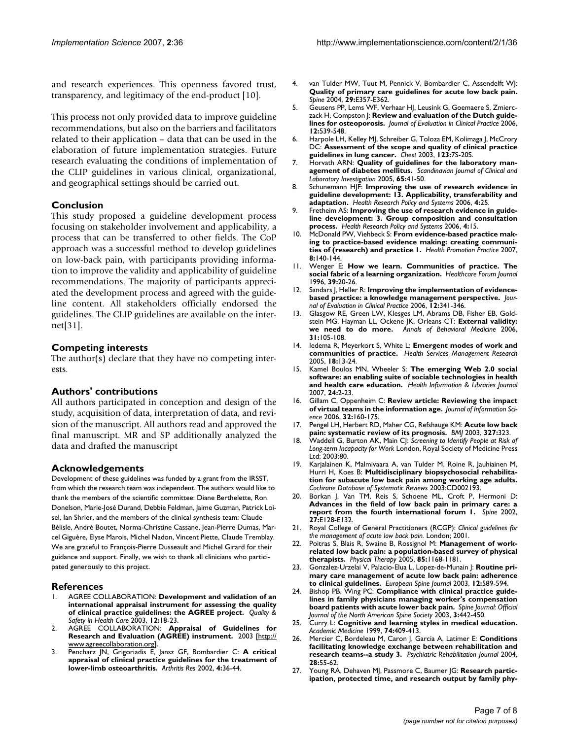and research experiences. This openness favored trust, transparency, and legitimacy of the end-product [10].

This process not only provided data to improve guideline recommendations, but also on the barriers and facilitators related to their application – data that can be used in the elaboration of future implementation strategies. Future research evaluating the conditions of implementation of the CLIP guidelines in various clinical, organizational, and geographical settings should be carried out.

# **Conclusion**

This study proposed a guideline development process focusing on stakeholder involvement and applicability, a process that can be transferred to other fields. The CoP approach was a successful method to develop guidelines on low-back pain, with participants providing information to improve the validity and applicability of guideline recommendations. The majority of participants appreciated the development process and agreed with the guideline content. All stakeholders officially endorsed the guidelines. The CLIP guidelines are available on the internet[31].

# **Competing interests**

The author(s) declare that they have no competing interests.

# **Authors' contributions**

All authors participated in conception and design of the study, acquisition of data, interpretation of data, and revision of the manuscript. All authors read and approved the final manuscript. MR and SP additionally analyzed the data and drafted the manuscript

# **Acknowledgements**

Development of these guidelines was funded by a grant from the IRSST, from which the research team was independent. The authors would like to thank the members of the scientific committee: Diane Berthelette, Ron Donelson, Marie-José Durand, Debbie Feldman, Jaime Guzman, Patrick Loisel, Ian Shrier, and the members of the clinical synthesis team: Claude Bélisle, André Boutet, Norma-Christine Cassane, Jean-Pierre Dumas, Marcel Giguère, Elyse Marois, Michel Nadon, Vincent Piette, Claude Tremblay. We are grateful to François-Pierre Dusseault and Michel Girard for their guidance and support. Finally, we wish to thank all clinicians who participated generously to this project.

#### **References**

- 1. AGREE COLLABORATION: **[Development and validation of an](http://www.ncbi.nlm.nih.gov/entrez/query.fcgi?cmd=Retrieve&db=PubMed&dopt=Abstract&list_uids=12571340) [international appraisal instrument for assessing the quality](http://www.ncbi.nlm.nih.gov/entrez/query.fcgi?cmd=Retrieve&db=PubMed&dopt=Abstract&list_uids=12571340) [of clinical practice guidelines: the AGREE project.](http://www.ncbi.nlm.nih.gov/entrez/query.fcgi?cmd=Retrieve&db=PubMed&dopt=Abstract&list_uids=12571340)** *Quality & Safety in Health Care* 2003, **12:**18-23.
- 2. AGREE COLLABORATION: **Appraisal of Guidelines for Research and Evaluation (AGREE) instrument.** 2003 [[http://](http://www.agreecollaboration.org) [www.agreecollaboration.org](http://www.agreecollaboration.org)].
- 3. Pencharz JN, Grigoriadis E, Jansz GF, Bombardier C: **[A critical](http://www.ncbi.nlm.nih.gov/entrez/query.fcgi?cmd=Retrieve&db=PubMed&dopt=Abstract&list_uids=11879536) [appraisal of clinical practice guidelines for the treatment of](http://www.ncbi.nlm.nih.gov/entrez/query.fcgi?cmd=Retrieve&db=PubMed&dopt=Abstract&list_uids=11879536) [lower-limb osteoarthritis.](http://www.ncbi.nlm.nih.gov/entrez/query.fcgi?cmd=Retrieve&db=PubMed&dopt=Abstract&list_uids=11879536)** *Arthritis Res* 2002, **4:**36-44.
- 4. van Tulder MW, Tuut M, Pennick V, Bombardier C, Assendelft WJ: **[Quality of primary care guidelines for acute low back pain.](http://www.ncbi.nlm.nih.gov/entrez/query.fcgi?cmd=Retrieve&db=PubMed&dopt=Abstract&list_uids=15534397)** *Spine* 2004, **29:**E357-E362.
- 5. Geusens PP, Lems WF, Verhaar HJ, Leusink G, Goemaere S, Zmierczack H, Compston |: **[Review and evaluation of the Dutch guide](http://www.ncbi.nlm.nih.gov/entrez/query.fcgi?cmd=Retrieve&db=PubMed&dopt=Abstract&list_uids=16987116)[lines for osteoporosis.](http://www.ncbi.nlm.nih.gov/entrez/query.fcgi?cmd=Retrieve&db=PubMed&dopt=Abstract&list_uids=16987116)** *Journal of Evaluation in Clinical Practice* 2006, **12:**539-548.
- 6. Harpole LH, Kelley MJ, Schreiber G, Toloza EM, Kolimaga J, McCrory DC: **[Assessment of the scope and quality of clinical practice](http://www.ncbi.nlm.nih.gov/entrez/query.fcgi?cmd=Retrieve&db=PubMed&dopt=Abstract&list_uids=12527562) [guidelines in lung cancer.](http://www.ncbi.nlm.nih.gov/entrez/query.fcgi?cmd=Retrieve&db=PubMed&dopt=Abstract&list_uids=12527562)** *Chest* 2003, **123:**7S-20S.
- 7. Horvath ARN: **Quality of guidelines for the laboratory management of diabetes mellitus.** *Scandinavian Journal of Clinical and Laboratory Investigation* 2005, **65:**41-50.
- 8. Schunemann HJF: **Improving the use of research evidence in guideline development: 13. Applicability, transferability and adaptation.** *Health Research Policy and Systems* 2006, **4:**25.
- 9. Fretheim AS: **Improving the use of research evidence in guideline development: 3. Group composition and consultation process.** *Health Research Policy and Systems* 2006, **4:**15.
- 10. McDonald PW, Viehbeck S: **[From evidence-based practice mak](http://www.ncbi.nlm.nih.gov/entrez/query.fcgi?cmd=Retrieve&db=PubMed&dopt=Abstract&list_uids=17384405)[ing to practice-based evidence making: creating communi](http://www.ncbi.nlm.nih.gov/entrez/query.fcgi?cmd=Retrieve&db=PubMed&dopt=Abstract&list_uids=17384405)[ties of \(research\) and practice 1.](http://www.ncbi.nlm.nih.gov/entrez/query.fcgi?cmd=Retrieve&db=PubMed&dopt=Abstract&list_uids=17384405)** *Health Promotion Practice* 2007, **8:**140-144.
- 11. Wenger E: **[How we learn. Communities of practice. The](http://www.ncbi.nlm.nih.gov/entrez/query.fcgi?cmd=Retrieve&db=PubMed&dopt=Abstract&list_uids=10158755) [social fabric of a learning organization.](http://www.ncbi.nlm.nih.gov/entrez/query.fcgi?cmd=Retrieve&db=PubMed&dopt=Abstract&list_uids=10158755)** *Healthcare Forum Journal* 1996, **39:**20-26.
- 12. Sandars J, Heller R: **[Improving the implementation of evidence](http://www.ncbi.nlm.nih.gov/entrez/query.fcgi?cmd=Retrieve&db=PubMed&dopt=Abstract&list_uids=16722920)[based practice: a knowledge management perspective.](http://www.ncbi.nlm.nih.gov/entrez/query.fcgi?cmd=Retrieve&db=PubMed&dopt=Abstract&list_uids=16722920)** *Journal of Evaluation in Clinical Practice* 2006, **12:**341-346.
- 13. Glasgow RE, Green LW, Klesges LM, Abrams DB, Fisher EB, Goldstein MG, Hayman LL, Ockene JK, Orleans CT: **[External validity:](http://www.ncbi.nlm.nih.gov/entrez/query.fcgi?cmd=Retrieve&db=PubMed&dopt=Abstract&list_uids=16542124) [we need to do more.](http://www.ncbi.nlm.nih.gov/entrez/query.fcgi?cmd=Retrieve&db=PubMed&dopt=Abstract&list_uids=16542124)** *Annals of Behavioral Medicine* 2006, **31:**105-108.
- 14. Iedema R, Meyerkort S, White L: **[Emergent modes of work and](http://www.ncbi.nlm.nih.gov/entrez/query.fcgi?cmd=Retrieve&db=PubMed&dopt=Abstract&list_uids=15807977) [communities of practice.](http://www.ncbi.nlm.nih.gov/entrez/query.fcgi?cmd=Retrieve&db=PubMed&dopt=Abstract&list_uids=15807977)** *Health Services Management Research* 2005, **18:**13-24.
- 15. Kamel Boulos MN, Wheeler S: **The emerging Web 2.0 social software: an enabling suite of sociable technologies in health and health care education.** *Health Information & Libraries Journal* 2007, **24:**2-23.
- 16. Gillam C, Oppenheim C: **Review article: Reviewing the impact of virtual teams in the information age.** *Journal of Information Science* 2006, **32:**160-175.
- 17. Pengel LH, Herbert RD, Maher CG, Refshauge KM: **[Acute low back](http://www.ncbi.nlm.nih.gov/entrez/query.fcgi?cmd=Retrieve&db=PubMed&dopt=Abstract&list_uids=12907487) [pain: systematic review of its prognosis.](http://www.ncbi.nlm.nih.gov/entrez/query.fcgi?cmd=Retrieve&db=PubMed&dopt=Abstract&list_uids=12907487)** *BMJ* 2003, **327:**323.
- 18. Waddell G, Burton AK, Main CJ: *Screening to Identify People at Risk of Long-term Incapacity for Work* London, Royal Society of Medicine Press Ltd; 2003:80.
- 19. Karjalainen K, Malmivaara A, van Tulder M, Roine R, Jauhiainen M, Hurri H, Koes B: **Multidisciplinary biopsychosocial rehabilitation for subacute low back pain among working age adults.** *Cochrane Database of Systematic Reviews* 2003:CD002193.
- 20. Borkan J, Van TM, Reis S, Schoene ML, Croft P, Hermoni D: **[Advances in the field of low back pain in primary care: a](http://www.ncbi.nlm.nih.gov/entrez/query.fcgi?cmd=Retrieve&db=PubMed&dopt=Abstract&list_uids=11880849) [report from the fourth international forum 1.](http://www.ncbi.nlm.nih.gov/entrez/query.fcgi?cmd=Retrieve&db=PubMed&dopt=Abstract&list_uids=11880849)** *Spine* 2002, **27:**E128-E132.
- 21. Royal College of General Practitioners (RCGP): *Clinical guidelines for the management of acute low back pain.* London; 2001.
- 22. Poitras S, Blais R, Swaine B, Rossignol M: **[Management of work](http://www.ncbi.nlm.nih.gov/entrez/query.fcgi?cmd=Retrieve&db=PubMed&dopt=Abstract&list_uids=16253046)[related low back pain: a population-based survey of physical](http://www.ncbi.nlm.nih.gov/entrez/query.fcgi?cmd=Retrieve&db=PubMed&dopt=Abstract&list_uids=16253046) [therapists.](http://www.ncbi.nlm.nih.gov/entrez/query.fcgi?cmd=Retrieve&db=PubMed&dopt=Abstract&list_uids=16253046)** *Physical Therapy* 2005, **85:**1168-1181.
- 23. Gonzalez-Urzelai V, Palacio-Elua L, Lopez-de-Munain J: **[Routine pri](http://www.ncbi.nlm.nih.gov/entrez/query.fcgi?cmd=Retrieve&db=PubMed&dopt=Abstract&list_uids=14605973)[mary care management of acute low back pain: adherence](http://www.ncbi.nlm.nih.gov/entrez/query.fcgi?cmd=Retrieve&db=PubMed&dopt=Abstract&list_uids=14605973) [to clinical guidelines.](http://www.ncbi.nlm.nih.gov/entrez/query.fcgi?cmd=Retrieve&db=PubMed&dopt=Abstract&list_uids=14605973)** *European Spine Journal* 2003, **12:**589-594.
- 24. Bishop PB, Wing PC: **Compliance with clinical practice guidelines in family physicians managing worker's compensation board patients with acute lower back pain.** *Spine Journal: Official Journal of the North American Spine Society* 2003, **3:**442-450.
- 25. Curry L: **[Cognitive and learning styles in medical education.](http://www.ncbi.nlm.nih.gov/entrez/query.fcgi?cmd=Retrieve&db=PubMed&dopt=Abstract&list_uids=10219223)** *Academic Medicine* 1999, **74:**409-413.
- 26. Mercier C, Bordeleau M, Caron J, Garcia A, Latimer E: **[Conditions](http://www.ncbi.nlm.nih.gov/entrez/query.fcgi?cmd=Retrieve&db=PubMed&dopt=Abstract&list_uids=15468637) [facilitating knowledge exchange between rehabilitation and](http://www.ncbi.nlm.nih.gov/entrez/query.fcgi?cmd=Retrieve&db=PubMed&dopt=Abstract&list_uids=15468637) [research teams--a study 3.](http://www.ncbi.nlm.nih.gov/entrez/query.fcgi?cmd=Retrieve&db=PubMed&dopt=Abstract&list_uids=15468637)** *Psychiatric Rehabilitation Journal* 2004, **28:**55-62.
- 27. Young RA, Dehaven MJ, Passmore C, Baumer JG: **[Research partic](http://www.ncbi.nlm.nih.gov/entrez/query.fcgi?cmd=Retrieve&db=PubMed&dopt=Abstract&list_uids=16673196)[ipation, protected time, and research output by family phy](http://www.ncbi.nlm.nih.gov/entrez/query.fcgi?cmd=Retrieve&db=PubMed&dopt=Abstract&list_uids=16673196)-**